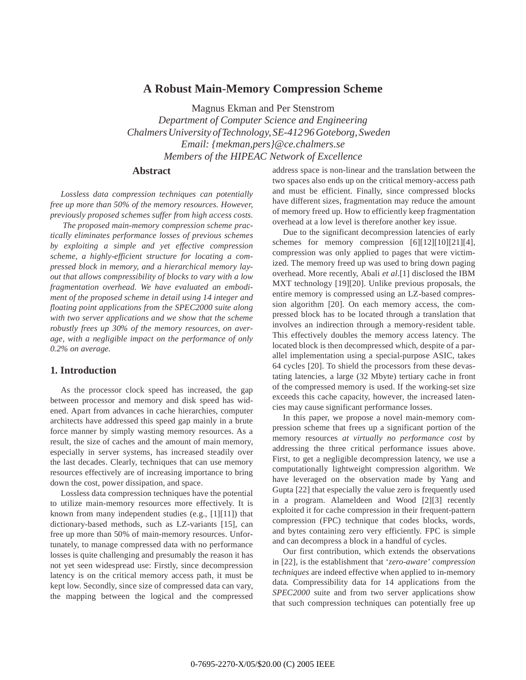# **A Robust Main-Memory Compression Scheme**

Magnus Ekman and Per Stenstrom *Department of Computer Science and Engineering Chalmers University of Technology, SE-412 96 Goteborg, Sweden Email: {mekman,pers}@ce.chalmers.se Members of the HIPEAC Network of Excellence*

# **Abstract**

*Lossless data compression techniques can potentially free up more than 50% of the memory resources. However, previously proposed schemes suffer from high access costs.*

 *The proposed main-memory compression scheme practically eliminates performance losses of previous schemes by exploiting a simple and yet effective compression scheme, a highly-efficient structure for locating a compressed block in memory, and a hierarchical memory layout that allows compressibility of blocks to vary with a low fragmentation overhead. We have evaluated an embodiment of the proposed scheme in detail using 14 integer and floating point applications from the SPEC2000 suite along with two server applications and we show that the scheme robustly frees up 30% of the memory resources, on average, with a negligible impact on the performance of only 0.2% on average.*

## **1. Introduction**

As the processor clock speed has increased, the gap between processor and memory and disk speed has widened. Apart from advances in cache hierarchies, computer architects have addressed this speed gap mainly in a brute force manner by simply wasting memory resources. As a result, the size of caches and the amount of main memory, especially in server systems, has increased steadily over the last decades. Clearly, techniques that can use memory resources effectively are of increasing importance to bring down the cost, power dissipation, and space.

Lossless data compression techniques have the potential to utilize main-memory resources more effectively. It is known from many independent studies (e.g., [1][11]) that dictionary-based methods, such as LZ-variants [15], can free up more than 50% of main-memory resources. Unfortunately, to manage compressed data with no performance losses is quite challenging and presumably the reason it has not yet seen widespread use: Firstly, since decompression latency is on the critical memory access path, it must be kept low. Secondly, since size of compressed data can vary, the mapping between the logical and the compressed

address space is non-linear and the translation between the two spaces also ends up on the critical memory-access path and must be efficient. Finally, since compressed blocks have different sizes, fragmentation may reduce the amount of memory freed up. How to efficiently keep fragmentation overhead at a low level is therefore another key issue.

Due to the significant decompression latencies of early schemes for memory compression [6][12][10][21][4], compression was only applied to pages that were victimized. The memory freed up was used to bring down paging overhead. More recently, Abali *et al*.[1] disclosed the IBM MXT technology [19][20]. Unlike previous proposals, the entire memory is compressed using an LZ-based compression algorithm [20]. On each memory access, the compressed block has to be located through a translation that involves an indirection through a memory-resident table. This effectively doubles the memory access latency. The located block is then decompressed which, despite of a parallel implementation using a special-purpose ASIC, takes 64 cycles [20]. To shield the processors from these devastating latencies, a large (32 Mbyte) tertiary cache in front of the compressed memory is used. If the working-set size exceeds this cache capacity, however, the increased latencies may cause significant performance losses.

In this paper, we propose a novel main-memory compression scheme that frees up a significant portion of the memory resources *at virtually no performance cost* by addressing the three critical performance issues above. First, to get a negligible decompression latency, we use a computationally lightweight compression algorithm. We have leveraged on the observation made by Yang and Gupta [22] that especially the value zero is frequently used in a program. Alameldeen and Wood [2][3] recently exploited it for cache compression in their frequent-pattern compression (FPC) technique that codes blocks, words, and bytes containing zero very efficiently. FPC is simple and can decompress a block in a handful of cycles.

Our first contribution, which extends the observations in [22], is the establishment that '*zero-aware' compression techniques* are indeed effective when applied to in-memory data*.* Compressibility data for 14 applications from the *SPEC2000* suite and from two server applications show that such compression techniques can potentially free up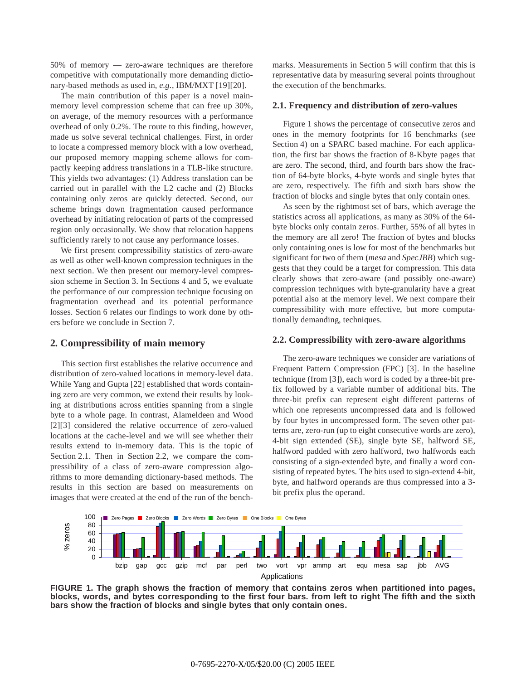50% of memory — zero-aware techniques are therefore competitive with computationally more demanding dictionary-based methods as used in, *e.g.*, IBM/MXT [19][20].

The main contribution of this paper is a novel mainmemory level compression scheme that can free up 30%, on average, of the memory resources with a performance overhead of only 0.2%. The route to this finding, however, made us solve several technical challenges. First, in order to locate a compressed memory block with a low overhead, our proposed memory mapping scheme allows for compactly keeping address translations in a TLB-like structure. This yields two advantages: (1) Address translation can be carried out in parallel with the L2 cache and (2) Blocks containing only zeros are quickly detected. Second, our scheme brings down fragmentation caused performance overhead by initiating relocation of parts of the compressed region only occasionally. We show that relocation happens sufficiently rarely to not cause any performance losses.

We first present compressibility statistics of zero-aware as well as other well-known compression techniques in the next section. We then present our memory-level compression scheme in Section 3. In Sections 4 and 5, we evaluate the performance of our compression technique focusing on fragmentation overhead and its potential performance losses. Section 6 relates our findings to work done by others before we conclude in Section 7.

## **2. Compressibility of main memory**

This section first establishes the relative occurrence and distribution of zero-valued locations in memory-level data. While Yang and Gupta [22] established that words containing zero are very common, we extend their results by looking at distributions across entities spanning from a single byte to a whole page. In contrast, Alameldeen and Wood [2][3] considered the relative occurrence of zero-valued locations at the cache-level and we will see whether their results extend to in-memory data. This is the topic of Section 2.1. Then in Section 2.2, we compare the compressibility of a class of zero-aware compression algorithms to more demanding dictionary-based methods. The results in this section are based on measurements on images that were created at the end of the run of the bench-

marks. Measurements in Section 5 will confirm that this is representative data by measuring several points throughout the execution of the benchmarks.

# **2.1. Frequency and distribution of zero-values**

Figure 1 shows the percentage of consecutive zeros and ones in the memory footprints for 16 benchmarks (see Section 4) on a SPARC based machine. For each application, the first bar shows the fraction of 8-Kbyte pages that are zero. The second, third, and fourth bars show the fraction of 64-byte blocks, 4-byte words and single bytes that are zero, respectively. The fifth and sixth bars show the fraction of blocks and single bytes that only contain ones.

As seen by the rightmost set of bars, which average the statistics across all applications, as many as 30% of the 64 byte blocks only contain zeros. Further, 55% of all bytes in the memory are all zero! The fraction of bytes and blocks only containing ones is low for most of the benchmarks but significant for two of them (*mesa* and *SpecJBB*) which suggests that they could be a target for compression. This data clearly shows that zero-aware (and possibly one-aware) compression techniques with byte-granularity have a great potential also at the memory level. We next compare their compressibility with more effective, but more computationally demanding, techniques.

#### **2.2. Compressibility with zero-aware algorithms**

The zero-aware techniques we consider are variations of Frequent Pattern Compression (FPC) [3]. In the baseline technique (from [3]), each word is coded by a three-bit prefix followed by a variable number of additional bits. The three-bit prefix can represent eight different patterns of which one represents uncompressed data and is followed by four bytes in uncompressed form. The seven other patterns are, zero-run (up to eight consecutive words are zero), 4-bit sign extended (SE), single byte SE, halfword SE, halfword padded with zero halfword, two halfwords each consisting of a sign-extended byte, and finally a word consisting of repeated bytes. The bits used to sign-extend 4-bit, byte, and halfword operands are thus compressed into a 3 bit prefix plus the operand.



**FIGURE 1. The graph shows the fraction of memory that contains zeros when partitioned into pages, blocks, words, and bytes corresponding to the first four bars. from left to right The fifth and the sixth bars show the fraction of blocks and single bytes that only contain ones.**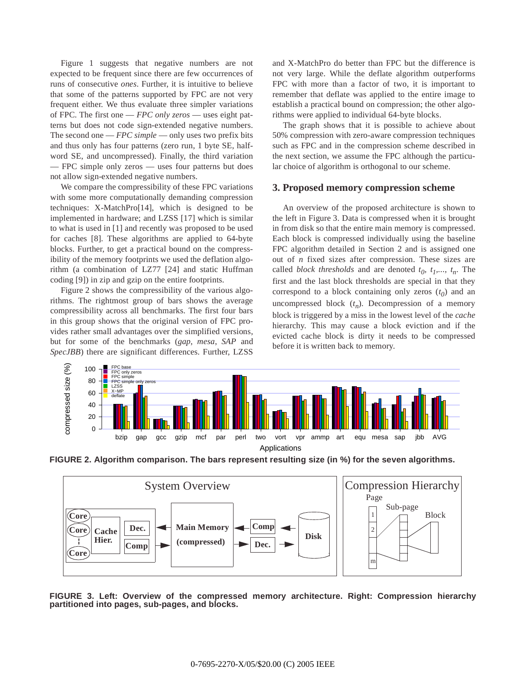Figure 1 suggests that negative numbers are not expected to be frequent since there are few occurrences of runs of consecutive *ones*. Further, it is intuitive to believe that some of the patterns supported by FPC are not very frequent either. We thus evaluate three simpler variations of FPC. The first one — *FPC only zeros* — uses eight patterns but does not code sign-extended negative numbers. The second one — *FPC simple* — only uses two prefix bits and thus only has four patterns (zero run, 1 byte SE, halfword SE, and uncompressed). Finally, the third variation — FPC simple only zeros — uses four patterns but does not allow sign-extended negative numbers.

We compare the compressibility of these FPC variations with some more computationally demanding compression techniques: X-MatchPro[14], which is designed to be implemented in hardware; and LZSS [17] which is similar to what is used in [1] and recently was proposed to be used for caches [8]. These algorithms are applied to 64-byte blocks. Further, to get a practical bound on the compressibility of the memory footprints we used the deflation algorithm (a combination of LZ77 [24] and static Huffman coding [9]) in zip and gzip on the entire footprints.

Figure 2 shows the compressibility of the various algorithms. The rightmost group of bars shows the average compressibility across all benchmarks. The first four bars in this group shows that the original version of FPC provides rather small advantages over the simplified versions, but for some of the benchmarks (*gap*, *mesa*, *SAP* and *SpecJBB*) there are significant differences. Further, LZSS

and X-MatchPro do better than FPC but the difference is not very large. While the deflate algorithm outperforms FPC with more than a factor of two, it is important to remember that deflate was applied to the entire image to establish a practical bound on compression; the other algorithms were applied to individual 64-byte blocks.

The graph shows that it is possible to achieve about 50% compression with zero-aware compression techniques such as FPC and in the compression scheme described in the next section, we assume the FPC although the particular choice of algorithm is orthogonal to our scheme.

## **3. Proposed memory compression scheme**

An overview of the proposed architecture is shown to the left in Figure 3. Data is compressed when it is brought in from disk so that the entire main memory is compressed. Each block is compressed individually using the baseline FPC algorithm detailed in Section 2 and is assigned one out of *n* fixed sizes after compression. These sizes are called *block thresholds* and are denoted  $t_0$ ,  $t_1$ ,...,  $t_n$ . The first and the last block thresholds are special in that they correspond to a block containing only zeros  $(t_0)$  and an uncompressed block  $(t_n)$ . Decompression of a memory block is triggered by a miss in the lowest level of the *cache* hierarchy. This may cause a block eviction and if the evicted cache block is dirty it needs to be compressed before it is written back to memory.



**FIGURE 2. Algorithm comparison. The bars represent resulting size (in %) for the seven algorithms.**



**FIGURE 3. Left: Overview of the compressed memory architecture. Right: Compression hierarchy partitioned into pages, sub-pages, and blocks.**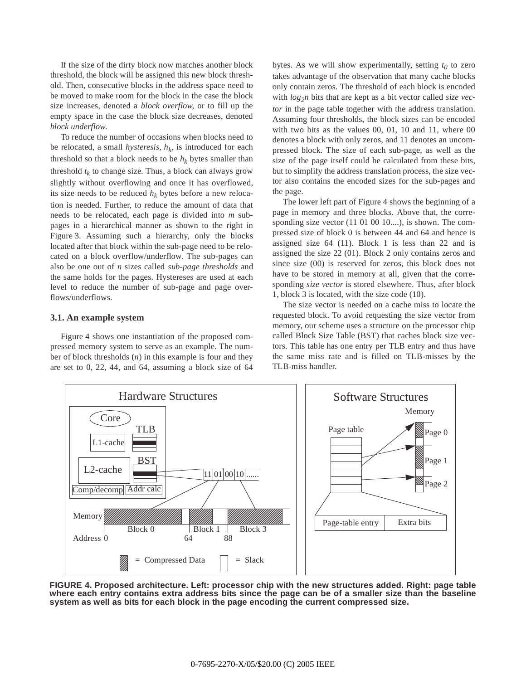If the size of the dirty block now matches another block threshold, the block will be assigned this new block threshold. Then, consecutive blocks in the address space need to be moved to make room for the block in the case the block size increases, denoted a *block overflow*, or to fill up the empty space in the case the block size decreases, denoted *block underflow*.

To reduce the number of occasions when blocks need to be relocated, a small *hysteresis*,  $h_k$ , is introduced for each threshold so that a block needs to be  $h_k$  bytes smaller than threshold  $t_k$  to change size. Thus, a block can always grow slightly without overflowing and once it has overflowed, its size needs to be reduced  $h_k$  bytes before a new relocation is needed. Further, to reduce the amount of data that needs to be relocated, each page is divided into *m* subpages in a hierarchical manner as shown to the right in Figure 3. Assuming such a hierarchy, only the blocks located after that block within the sub-page need to be relocated on a block overflow/underflow. The sub-pages can also be one out of *n* sizes called *sub-page thresholds* and the same holds for the pages. Hystereses are used at each level to reduce the number of sub-page and page overflows/underflows.

### **3.1. An example system**

Figure 4 shows one instantiation of the proposed compressed memory system to serve as an example. The number of block thresholds (*n*) in this example is four and they are set to 0, 22, 44, and 64, assuming a block size of 64

bytes. As we will show experimentally, setting  $t_0$  to zero takes advantage of the observation that many cache blocks only contain zeros. The threshold of each block is encoded with  $\log_2 n$  bits that are kept as a bit vector called *size vector* in the page table together with the address translation. Assuming four thresholds, the block sizes can be encoded with two bits as the values 00, 01, 10 and 11, where 00 denotes a block with only zeros, and 11 denotes an uncompressed block. The size of each sub-page, as well as the size of the page itself could be calculated from these bits, but to simplify the address translation process, the size vector also contains the encoded sizes for the sub-pages and the page.

The lower left part of Figure 4 shows the beginning of a page in memory and three blocks. Above that, the corresponding size vector (11 01 00 10....), is shown. The compressed size of block 0 is between 44 and 64 and hence is assigned size 64 (11). Block 1 is less than 22 and is assigned the size 22 (01). Block 2 only contains zeros and since size (00) is reserved for zeros, this block does not have to be stored in memory at all, given that the corresponding *size vector* is stored elsewhere. Thus, after block 1, block 3 is located, with the size code (10).

The size vector is needed on a cache miss to locate the requested block. To avoid requesting the size vector from memory, our scheme uses a structure on the processor chip called Block Size Table (BST) that caches block size vectors. This table has one entry per TLB entry and thus have the same miss rate and is filled on TLB-misses by the TLB-miss handler.



**FIGURE 4. Proposed architecture. Left: processor chip with the new structures added. Right: page table where each entry contains extra address bits since the page can be of a smaller size than the baseline system as well as bits for each block in the page encoding the current compressed size.**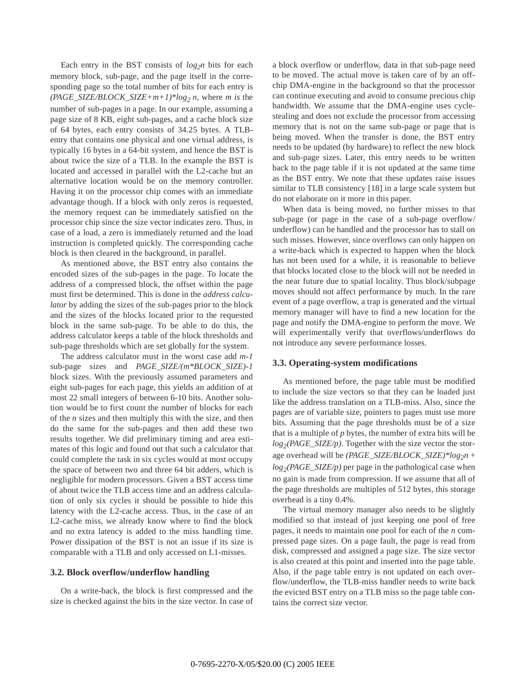Each entry in the BST consists of  $log_2 n$  bits for each memory block, sub-page, and the page itself in the corresponding page so the total number of bits for each entry is  $(PAGE\_SIZE/BLOCAL\_SIZE+m+1)*log_2 n$ , where *m* is the number of sub-pages in a page. In our example, assuming a page size of 8 KB, eight sub-pages, and a cache block size of 64 bytes, each entry consists of 34.25 bytes. A TLBentry that contains one physical and one virtual address, is typically 16 bytes in a 64-bit system, and hence the BST is about twice the size of a TLB. In the example the BST is located and accessed in parallel with the L2-cache but an alternative location would be on the memory controller. Having it on the processor chip comes with an immediate advantage though. If a block with only zeros is requested, the memory request can be immediately satisfied on the processor chip since the size vector indicates zero. Thus, in case of a load, a zero is immediately returned and the load instruction is completed quickly. The corresponding cache block is then cleared in the background, in parallel.

As mentioned above, the BST entry also contains the encoded sizes of the sub-pages in the page. To locate the address of a compressed block, the offset within the page must first be determined. This is done in the *address calculator* by adding the sizes of the sub-pages prior to the block and the sizes of the blocks located prior to the requested block in the same sub-page. To be able to do this, the address calculator keeps a table of the block thresholds and sub-page thresholds which are set globally for the system.

The address calculator must in the worst case add *m-1* sub-page sizes and *PAGE\_SIZE/(m\*BLOCK\_SIZE)-1* block sizes. With the previously assumed parameters and eight sub-pages for each page, this yields an addition of at most 22 small integers of between 6-10 bits. Another solution would be to first count the number of blocks for each of the *n* sizes and then multiply this with the size, and then do the same for the sub-pages and then add these two results together. We did preliminary timing and area estimates of this logic and found out that such a calculator that could complete the task in six cycles would at most occupy the space of between two and three 64 bit adders, which is negligible for modern processors. Given a BST access time of about twice the TLB access time and an address calculation of only six cycles it should be possible to hide this latency with the L2-cache access. Thus, in the case of an L2-cache miss, we already know where to find the block and no extra latency is added to the miss handling time. Power dissipation of the BST is not an issue if its size is comparable with a TLB and only accessed on L1-misses.

## **3.2. Block overflow/underflow handling**

On a write-back, the block is first compressed and the size is checked against the bits in the size vector. In case of

a block overflow or underflow, data in that sub-page need to be moved. The actual move is taken care of by an offchip DMA-engine in the background so that the processor can continue executing and avoid to consume precious chip bandwidth. We assume that the DMA-engine uses cyclestealing and does not exclude the processor from accessing memory that is not on the same sub-page or page that is being moved. When the transfer is done, the BST entry needs to be updated (by hardware) to reflect the new block and sub-page sizes. Later, this entry needs to be written back to the page table if it is not updated at the same time as the BST entry. We note that these updates raise issues similar to TLB consistency [18] in a large scale system but do not elaborate on it more in this paper.

When data is being moved, no further misses to that sub-page (or page in the case of a sub-page overflow/ underflow) can be handled and the processor has to stall on such misses. However, since overflows can only happen on a write-back which is expected to happen when the block has not been used for a while, it is reasonable to believe that blocks located close to the block will not be needed in the near future due to spatial locality. Thus block/subpage moves should not affect performance by much. In the rare event of a page overflow, a trap is generated and the virtual memory manager will have to find a new location for the page and notify the DMA-engine to perform the move. We will experimentally verify that overflows/underflows do not introduce any severe performance losses.

### **3.3. Operating-system modifications**

As mentioned before, the page table must be modified to include the size vectors so that they can be loaded just like the address translation on a TLB-miss. Also, since the pages are of variable size, pointers to pages must use more bits. Assuming that the page thresholds must be of a size that is a multiple of *p* bytes, the number of extra bits will be  $log_2(PAGE\_SIZE/p)$ . Together with the size vector the storage overhead will be *(PAGE\_SIZE/BLOCK\_SIZE)\*log<sub>2</sub>n* + *log2(PAGE\_SIZE/p)* per page in the pathological case when no gain is made from compression. If we assume that all of the page thresholds are multiples of 512 bytes, this storage overhead is a tiny 0.4%.

The virtual memory manager also needs to be slightly modified so that instead of just keeping one pool of free pages, it needs to maintain one pool for each of the *n* compressed page sizes. On a page fault, the page is read from disk, compressed and assigned a page size. The size vector is also created at this point and inserted into the page table. Also, if the page table entry is not updated on each overflow/underflow, the TLB-miss handler needs to write back the evicted BST entry on a TLB miss so the page table contains the correct size vector.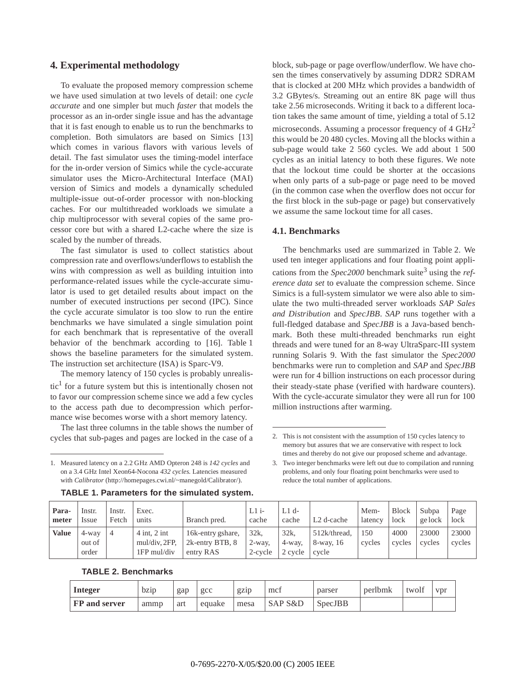# **4. Experimental methodology**

To evaluate the proposed memory compression scheme we have used simulation at two levels of detail: one *cycle accurate* and one simpler but much *faster* that models the processor as an in-order single issue and has the advantage that it is fast enough to enable us to run the benchmarks to completion. Both simulators are based on Simics [13] which comes in various flavors with various levels of detail. The fast simulator uses the timing-model interface for the in-order version of Simics while the cycle-accurate simulator uses the Micro-Architectural Interface (MAI) version of Simics and models a dynamically scheduled multiple-issue out-of-order processor with non-blocking caches. For our multithreaded workloads we simulate a chip multiprocessor with several copies of the same processor core but with a shared L2-cache where the size is scaled by the number of threads.

The fast simulator is used to collect statistics about compression rate and overflows/underflows to establish the wins with compression as well as building intuition into performance-related issues while the cycle-accurate simulator is used to get detailed results about impact on the number of executed instructions per second (IPC). Since the cycle accurate simulator is too slow to run the entire benchmarks we have simulated a single simulation point for each benchmark that is representative of the overall behavior of the benchmark according to [16]. Table 1 shows the baseline parameters for the simulated system. The instruction set architecture (ISA) is Sparc-V9.

The memory latency of 150 cycles is probably unrealistic<sup>1</sup> for a future system but this is intentionally chosen not to favor our compression scheme since we add a few cycles to the access path due to decompression which performance wise becomes worse with a short memory latency.

The last three columns in the table shows the number of cycles that sub-pages and pages are locked in the case of a

1. Measured latency on a 2.2 GHz AMD Opteron 248 is *142 cycles* and on a 3.4 GHz Intel Xeon64-Nocona *432 cycles*. Latencies measured with *Calibrator* (http://homepages.cwi.nl/~manegold/Calibrator/).

block, sub-page or page overflow/underflow. We have chosen the times conservatively by assuming DDR2 SDRAM that is clocked at 200 MHz which provides a bandwidth of 3.2 GBytes/s. Streaming out an entire 8K page will thus take 2.56 microseconds. Writing it back to a different location takes the same amount of time, yielding a total of 5.12 microseconds. Assuming a processor frequency of  $4 \text{ GHz}^2$ this would be 20 480 cycles. Moving all the blocks within a sub-page would take 2 560 cycles. We add about 1 500 cycles as an initial latency to both these figures. We note that the lockout time could be shorter at the occasions when only parts of a sub-page or page need to be moved (in the common case when the overflow does not occur for the first block in the sub-page or page) but conservatively we assume the same lockout time for all cases.

### **4.1. Benchmarks**

The benchmarks used are summarized in Table 2. We used ten integer applications and four floating point applications from the *Spec2000* benchmark suite<sup>3</sup> using the *reference data set* to evaluate the compression scheme. Since Simics is a full-system simulator we were also able to simulate the two multi-threaded server workloads *SAP Sales and Distribution* and *SpecJBB*. *SAP* runs together with a full-fledged database and *SpecJBB* is a Java-based benchmark. Both these multi-threaded benchmarks run eight threads and were tuned for an 8-way UltraSparc-III system running Solaris 9. With the fast simulator the *Spec2000* benchmarks were run to completion and *SAP* and *SpecJBB* were run for 4 billion instructions on each processor during their steady-state phase (verified with hardware counters). With the cycle-accurate simulator they were all run for 100 million instructions after warming.

<sup>3.</sup> Two integer benchmarks were left out due to compilation and running problems, and only four floating point benchmarks were used to reduce the total number of applications.

| Para-<br>meter | Instr.<br><i>Issue</i>   | Instr.<br>Fetch | Exec.<br>units                                   | Branch pred.                                      | $L1$ i-<br>cache            | $L1d-$<br>cache             | L <sub>2</sub> d-cache             | Mem-<br>latency | <b>Block</b><br>lock | Subpa<br>gelock | Page<br>lock    |
|----------------|--------------------------|-----------------|--------------------------------------------------|---------------------------------------------------|-----------------------------|-----------------------------|------------------------------------|-----------------|----------------------|-----------------|-----------------|
| <b>Value</b>   | 4-way<br>out of<br>order | $\overline{4}$  | $4$ int, $2$ int<br>mul/div. 2FP.<br>1FP mul/div | 16k-entry gshare,<br>2k-entry BTB, 8<br>entry RAS | 32k<br>$2$ -way,<br>2-cycle | 32k<br>$4$ -way,<br>2 cycle | 512k/thread,<br>8-way, 16<br>cycle | 150<br>cycles   | 4000<br>cycles       | 23000<br>cycles | 23000<br>cycles |

**TABLE 1. Parameters for the simulated system.**

# **TABLE 2. Benchmarks**

| Integer              | bz1D | gap | $_{\text{gcc}}$ | QZ1D | mct       | parser         | perlbmk | twolf | vpr |
|----------------------|------|-----|-----------------|------|-----------|----------------|---------|-------|-----|
| <b>FP</b> and server | ammp | art | equake          | mesa | $SAP$ S&D | <b>SpecJBB</b> |         |       |     |

<sup>2.</sup> This is not consistent with the assumption of 150 cycles latency to memory but assures that we are conservative with respect to lock times and thereby do not give our proposed scheme and advantage.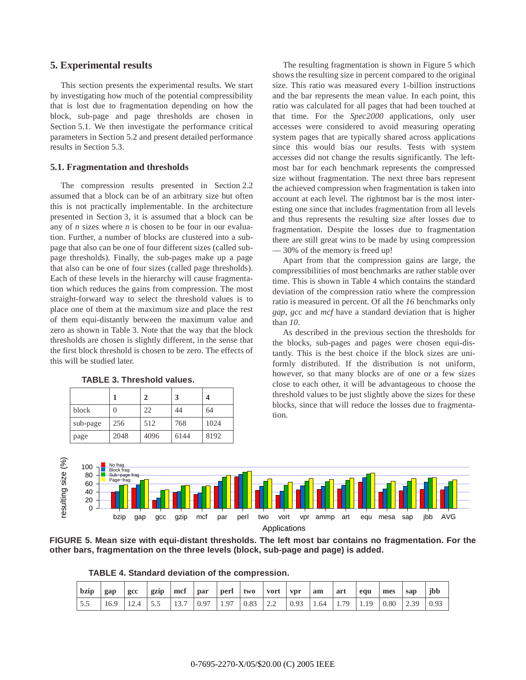# **5. Experimental results**

This section presents the experimental results. We start by investigating how much of the potential compressibility that is lost due to fragmentation depending on how the block, sub-page and page thresholds are chosen in Section 5.1. We then investigate the performance critical parameters in Section 5.2 and present detailed performance results in Section 5.3.

### **5.1. Fragmentation and thresholds**

The compression results presented in Section 2.2 assumed that a block can be of an arbitrary size but often this is not practically implementable. In the architecture presented in Section 3, it is assumed that a block can be any of *n* sizes where *n* is chosen to be four in our evaluation. Further, a number of blocks are clustered into a subpage that also can be one of four different sizes (called subpage thresholds). Finally, the sub-pages make up a page that also can be one of four sizes (called page thresholds). Each of these levels in the hierarchy will cause fragmentation which reduces the gains from compression. The most straight-forward way to select the threshold values is to place one of them at the maximum size and place the rest of them equi-distantly between the maximum value and zero as shown in Table 3. Note that the way that the block thresholds are chosen is slightly different, in the sense that the first block threshold is chosen to be zero. The effects of this will be studied later.

|          |      | າ    |      | 4    |
|----------|------|------|------|------|
| block    |      | 22   | 44   | 64   |
| sub-page | 256  | 512  | 768  | 1024 |
| page     | 2048 | 4096 | 6144 | 8192 |

**TABLE 3. Threshold values.**

The resulting fragmentation is shown in Figure 5 which shows the resulting size in percent compared to the original size. This ratio was measured every 1-billion instructions and the bar represents the mean value. In each point, this ratio was calculated for all pages that had been touched at that time. For the *Spec2000* applications, only user accesses were considered to avoid measuring operating system pages that are typically shared across applications since this would bias our results. Tests with system accesses did not change the results significantly. The leftmost bar for each benchmark represents the compressed size without fragmentation. The next three bars represent the achieved compression when fragmentation is taken into account at each level. The rightmost bar is the most interesting one since that includes fragmentation from all levels and thus represents the resulting size after losses due to fragmentation. Despite the losses due to fragmentation there are still great wins to be made by using compression — 30% of the memory is freed up!

Apart from that the compression gains are large, the compressibilities of most benchmarks are rather stable over time. This is shown in Table 4 which contains the standard deviation of the compression ratio where the compression ratio is measured in percent. Of all the *16* benchmarks only *gap*, *gcc* and *mcf* have a standard deviation that is higher than *10*.

As described in the previous section the thresholds for the blocks, sub-pages and pages were chosen equi-distantly. This is the best choice if the block sizes are uniformly distributed. If the distribution is not uniform, however, so that many blocks are of one or a few sizes close to each other, it will be advantageous to choose the threshold values to be just slightly above the sizes for these blocks, since that will reduce the losses due to fragmentation.



**FIGURE 5. Mean size with equi-distant thresholds. The left most bar contains no fragmentation. For the other bars, fragmentation on the three levels (block, sub-page and page) is added.**

| TABLE 4. Standard deviation of the compression. |  |  |  |
|-------------------------------------------------|--|--|--|
|-------------------------------------------------|--|--|--|

| bzip | gap  | gcc         | gzip | mcf       | <b>par</b> | perl | two  | $\vert$ vort $\vert$ vpr |      | am | l art       | equ  | mes  | sap   | jbb  |
|------|------|-------------|------|-----------|------------|------|------|--------------------------|------|----|-------------|------|------|-------|------|
| 15.5 | 16.9 | $12.4$ 15.5 |      | 13.7 0.97 |            | 1.97 | 0.83 | $\vert 2.2 \vert$        | 0.93 |    | $1.64$ 1.79 | 1.19 | 0.80 | 12.39 | 0.93 |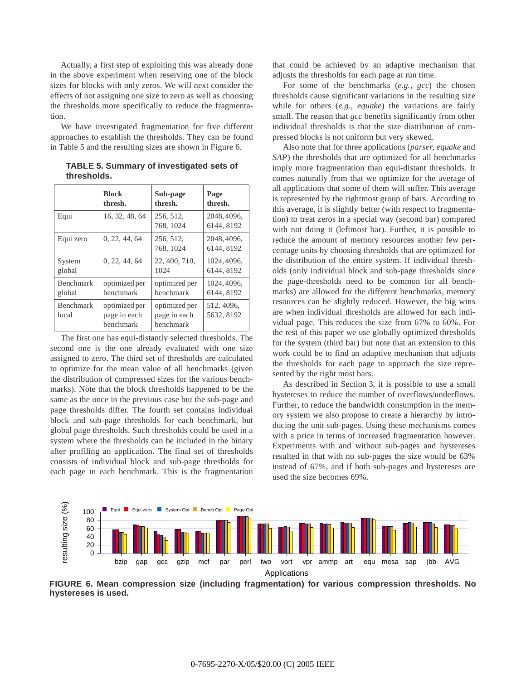Actually, a first step of exploiting this was already done in the above experiment when reserving one of the block sizes for blocks with only zeros. We will next consider the effects of not assigning one size to zero as well as choosing the thresholds more specifically to reduce the fragmentation.

We have investigated fragmentation for five different approaches to establish the thresholds. They can be found in Table 5 and the resulting sizes are shown in Figure 6.

|                           | <b>Block</b>                               | Sub-page                                   | Page                      |
|---------------------------|--------------------------------------------|--------------------------------------------|---------------------------|
|                           | thresh.                                    | thresh.                                    | thresh.                   |
| Equi                      | 16, 32, 48, 64                             | 256, 512,<br>768, 1024                     | 2048, 4096,<br>6144, 8192 |
| Equi zero                 | 0, 22, 44, 64                              | 256, 512,<br>768, 1024                     | 2048, 4096,<br>6144, 8192 |
| System                    | 0, 22, 44, 64                              | 22, 400, 710,                              | 1024, 4096.               |
| global                    |                                            | 1024                                       | 6144, 8192                |
| <b>Benchmark</b>          | optimized per                              | optimized per                              | 1024, 4096.               |
| global                    | benchmark                                  | benchmark                                  | 6144, 8192                |
| <b>Benchmark</b><br>local | optimized per<br>page in each<br>benchmark | optimized per<br>page in each<br>benchmark | 512, 4096,<br>5632, 8192  |

**TABLE 5. Summary of investigated sets of thresholds.** 

The first one has equi-distantly selected thresholds. The second one is the one already evaluated with one size assigned to zero. The third set of thresholds are calculated to optimize for the mean value of all benchmarks (given the distribution of compressed sizes for the various benchmarks). Note that the block thresholds happened to be the same as the once in the previous case but the sub-page and page thresholds differ. The fourth set contains individual block and sub-page thresholds for each benchmark, but global page thresholds. Such thresholds could be used in a system where the thresholds can be included in the binary after profiling an application. The final set of thresholds consists of individual block and sub-page thresholds for each page in each benchmark. This is the fragmentation

that could be achieved by an adaptive mechanism that adjusts the thresholds for each page at run time.

For some of the benchmarks (*e.g., gcc*) the chosen thresholds cause significant variations in the resulting size while for others (*e.g., equake*) the variations are fairly small. The reason that *gcc* benefits significantly from other individual thresholds is that the size distribution of compressed blocks is not uniform but very skewed.

Also note that for three applications (*parser*, *equake* and *SAP*) the thresholds that are optimized for all benchmarks imply more fragmentation than equi-distant thresholds. It comes naturally from that we optimize for the average of all applications that some of them will suffer. This average is represented by the rightmost group of bars. According to this average, it is slightly better (with respect to fragmentation) to treat zeros in a special way (second bar) compared with not doing it (leftmost bar). Further, it is possible to reduce the amount of memory resources another few percentage units by choosing thresholds that are optimized for the distribution of the entire system. If individual thresholds (only individual block and sub-page thresholds since the page-thresholds need to be common for all benchmarks) are allowed for the different benchmarks, memory resources can be slightly reduced. However, the big wins are when individual thresholds are allowed for each individual page. This reduces the size from 67% to 60%. For the rest of this paper we use globally optimized thresholds for the system (third bar) but note that an extension to this work could be to find an adaptive mechanism that adjusts the thresholds for each page to approach the size represented by the right most bars.

As described in Section 3, it is possible to use a small hystereses to reduce the number of overflows/underflows. Further, to reduce the bandwidth consumption in the memory system we also propose to create a hierarchy by introducing the unit sub-pages. Using these mechanisms comes with a price in terms of increased fragmentation however. Experiments with and without sub-pages and hystereses resulted in that with no sub-pages the size would be 63% instead of 67%, and if both sub-pages and hystereses are used the size becomes 69%.



**FIGURE 6. Mean compression size (including fragmentation) for various compression thresholds. No hystereses is used.**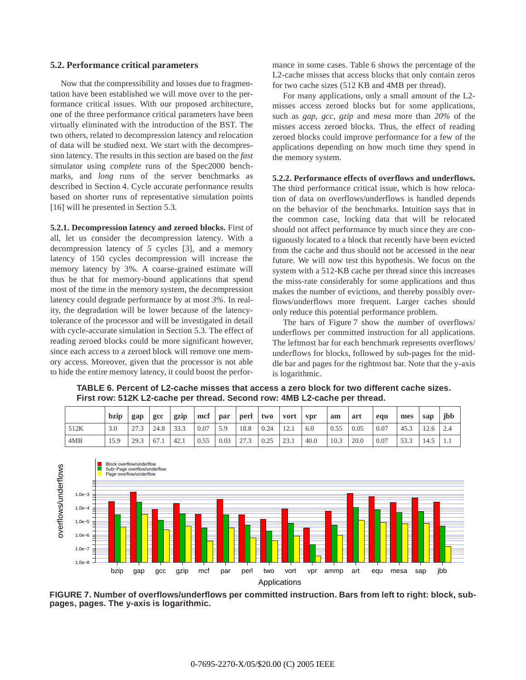#### **5.2. Performance critical parameters**

Now that the compressibility and losses due to fragmentation have been established we will move over to the performance critical issues. With our proposed architecture, one of the three performance critical parameters have been virtually eliminated with the introduction of the BST. The two others, related to decompression latency and relocation of data will be studied next. We start with the decompression latency. The results in this section are based on the *fast* simulator using *complete* runs of the Spec2000 benchmarks, and *long* runs of the server benchmarks as described in Section 4. Cycle accurate performance results based on shorter runs of representative simulation points [16] will be presented in Section 5.3.

**5.2.1. Decompression latency and zeroed blocks.** First of all, let us consider the decompression latency. With a decompression latency of *5* cycles [3], and a memory latency of 150 cycles decompression will increase the memory latency by 3%. A coarse-grained estimate will thus be that for memory-bound applications that spend most of the time in the memory system, the decompression latency could degrade performance by at most *3%*. In reality, the degradation will be lower because of the latencytolerance of the processor and will be investigated in detail with cycle-accurate simulation in Section 5.3. The effect of reading zeroed blocks could be more significant however, since each access to a zeroed block will remove one memory access. Moreover, given that the processor is not able to hide the entire memory latency, it could boost the perfor-

mance in some cases. Table 6 shows the percentage of the L2-cache misses that access blocks that only contain zeros for two cache sizes (512 KB and 4MB per thread).

For many applications, only a small amount of the L2 misses access zeroed blocks but for some applications, such as *gap*, *gcc*, *gzip* and *mesa* more than *20%* of the misses access zeroed blocks. Thus, the effect of reading zeroed blocks could improve performance for a few of the applications depending on how much time they spend in the memory system.

#### **5.2.2. Performance effects of overflows and underflows.**

The third performance critical issue, which is how relocation of data on overflows/underflows is handled depends on the behavior of the benchmarks. Intuition says that in the common case, locking data that will be relocated should not affect performance by much since they are contiguously located to a block that recently have been evicted from the cache and thus should not be accessed in the near future. We will now test this hypothesis. We focus on the system with a 512-KB cache per thread since this increases the miss-rate considerably for some applications and thus makes the number of evictions, and thereby possibly overflows/underflows more frequent. Larger caches should only reduce this potential performance problem.

The bars of Figure 7 show the number of overflows/ underflows per committed instruction for all applications. The leftmost bar for each benchmark represents overflows/ underflows for blocks, followed by sub-pages for the middle bar and pages for the rightmost bar. Note that the y-axis is logarithmic.

|      | bzin | gap  | $_{\rm gcc}$ | gzip | mcf  | par  | perl | two  | vort | <b>vpr</b> | am   | art  | eau  | mes  | sap  | jbb |
|------|------|------|--------------|------|------|------|------|------|------|------------|------|------|------|------|------|-----|
| 512K | 3.0  | 27.3 | 24.8         | 33.3 | 0.07 | 5.9  | 18.8 | 0.24 | 12.1 | 6.0        | 0.55 | 0.05 | 0.07 | 45.3 | 12.6 | 2.4 |
| 4MB  | 15.9 | 29.3 | 67.1         | 42.1 | 0.55 | 0.03 | 27.3 | 0.25 | 23.1 | 40.0       | 10.3 | 20.0 | 0.07 | 53.3 | 14.5 | 1.1 |

**TABLE 6. Percent of L2-cache misses that access a zero block for two different cache sizes. First row: 512K L2-cache per thread. Second row: 4MB L2-cache per thread.**



**FIGURE 7. Number of overflows/underflows per committed instruction. Bars from left to right: block, subpages, pages. The y-axis is logarithmic.**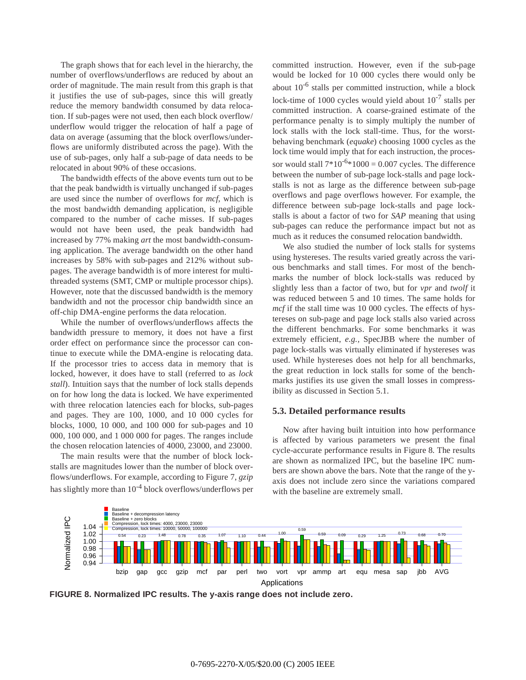The graph shows that for each level in the hierarchy, the number of overflows/underflows are reduced by about an order of magnitude. The main result from this graph is that it justifies the use of sub-pages, since this will greatly reduce the memory bandwidth consumed by data relocation. If sub-pages were not used, then each block overflow/ underflow would trigger the relocation of half a page of data on average (assuming that the block overflows/underflows are uniformly distributed across the page). With the use of sub-pages, only half a sub-page of data needs to be relocated in about 90% of these occasions.

The bandwidth effects of the above events turn out to be that the peak bandwidth is virtually unchanged if sub-pages are used since the number of overflows for *mcf*, which is the most bandwidth demanding application, is negligible compared to the number of cache misses. If sub-pages would not have been used, the peak bandwidth had increased by 77% making *art* the most bandwidth-consuming application. The average bandwidth on the other hand increases by 58% with sub-pages and 212% without subpages. The average bandwidth is of more interest for multithreaded systems (SMT, CMP or multiple processor chips). However, note that the discussed bandwidth is the memory bandwidth and not the processor chip bandwidth since an off-chip DMA-engine performs the data relocation.

While the number of overflows/underflows affects the bandwidth pressure to memory, it does not have a first order effect on performance since the processor can continue to execute while the DMA-engine is relocating data. If the processor tries to access data in memory that is locked, however, it does have to stall (referred to as *lock stall*). Intuition says that the number of lock stalls depends on for how long the data is locked. We have experimented with three relocation latencies each for blocks, sub-pages and pages. They are 100, 1000, and 10 000 cycles for blocks, 1000, 10 000, and 100 000 for sub-pages and 10 000, 100 000, and 1 000 000 for pages. The ranges include the chosen relocation latencies of 4000, 23000, and 23000.

The main results were that the number of block lockstalls are magnitudes lower than the number of block overflows/underflows. For example, according to Figure 7, *gzip* has slightly more than  $10^{-4}$  block overflows/underflows per

committed instruction. However, even if the sub-page would be locked for 10 000 cycles there would only be about  $10^{-6}$  stalls per committed instruction, while a block lock-time of 1000 cycles would yield about  $10^{-7}$  stalls per committed instruction. A coarse-grained estimate of the performance penalty is to simply multiply the number of lock stalls with the lock stall-time. Thus, for the worstbehaving benchmark (*equake*) choosing 1000 cycles as the lock time would imply that for each instruction, the processor would stall  $7*10^{-6}*1000 = 0.007$  cycles. The difference between the number of sub-page lock-stalls and page lockstalls is not as large as the difference between sub-page overflows and page overflows however. For example, the difference between sub-page lock-stalls and page lockstalls is about a factor of two for *SAP* meaning that using sub-pages can reduce the performance impact but not as much as it reduces the consumed relocation bandwidth.

We also studied the number of lock stalls for systems using hystereses. The results varied greatly across the various benchmarks and stall times. For most of the benchmarks the number of block lock-stalls was reduced by slightly less than a factor of two, but for *vpr* and *twolf* it was reduced between 5 and 10 times. The same holds for *mcf* if the stall time was 10 000 cycles. The effects of hystereses on sub-page and page lock stalls also varied across the different benchmarks. For some benchmarks it was extremely efficient, *e.g.,* SpecJBB where the number of page lock-stalls was virtually eliminated if hystereses was used. While hystereses does not help for all benchmarks, the great reduction in lock stalls for some of the benchmarks justifies its use given the small losses in compressibility as discussed in Section 5.1.

## **5.3. Detailed performance results**

Now after having built intuition into how performance is affected by various parameters we present the final cycle-accurate performance results in Figure 8. The results are shown as normalized IPC, but the baseline IPC numbers are shown above the bars. Note that the range of the yaxis does not include zero since the variations compared with the baseline are extremely small.



**FIGURE 8. Normalized IPC results. The y-axis range does not include zero.**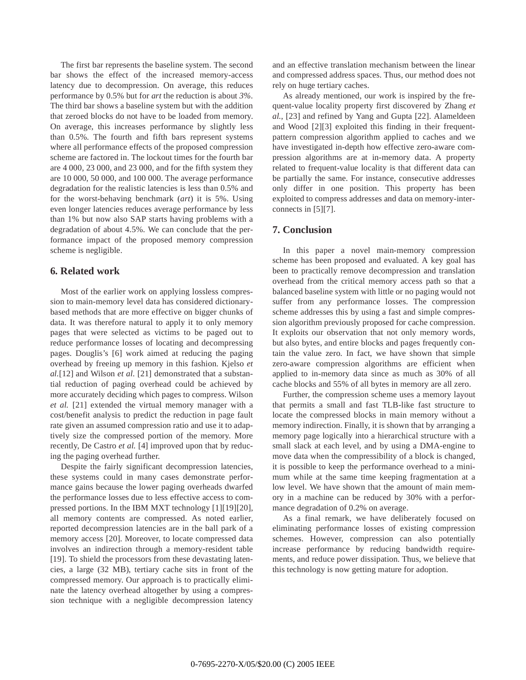The first bar represents the baseline system. The second bar shows the effect of the increased memory-access latency due to decompression. On average, this reduces performance by 0.5% but for *art* the reduction is about *3%.* The third bar shows a baseline system but with the addition that zeroed blocks do not have to be loaded from memory. On average, this increases performance by slightly less than 0.5%. The fourth and fifth bars represent systems where all performance effects of the proposed compression scheme are factored in. The lockout times for the fourth bar are 4 000, 23 000, and 23 000, and for the fifth system they are 10 000, 50 000, and 100 000. The average performance degradation for the realistic latencies is less than 0.5% and for the worst-behaving benchmark (*art*) it is 5%. Using even longer latencies reduces average performance by less than 1% but now also SAP starts having problems with a degradation of about 4.5%. We can conclude that the performance impact of the proposed memory compression scheme is negligible.

# **6. Related work**

Most of the earlier work on applying lossless compression to main-memory level data has considered dictionarybased methods that are more effective on bigger chunks of data. It was therefore natural to apply it to only memory pages that were selected as victims to be paged out to reduce performance losses of locating and decompressing pages. Douglis's [6] work aimed at reducing the paging overhead by freeing up memory in this fashion. Kjelso *et al.*[12] and Wilson *et al.* [21] demonstrated that a substantial reduction of paging overhead could be achieved by more accurately deciding which pages to compress. Wilson *et al.* [21] extended the virtual memory manager with a cost/benefit analysis to predict the reduction in page fault rate given an assumed compression ratio and use it to adaptively size the compressed portion of the memory. More recently, De Castro *et al.* [4] improved upon that by reducing the paging overhead further.

Despite the fairly significant decompression latencies, these systems could in many cases demonstrate performance gains because the lower paging overheads dwarfed the performance losses due to less effective access to compressed portions. In the IBM MXT technology [1][19][20], all memory contents are compressed. As noted earlier, reported decompression latencies are in the ball park of a memory access [20]. Moreover, to locate compressed data involves an indirection through a memory-resident table [19]. To shield the processors from these devastating latencies, a large (32 MB), tertiary cache sits in front of the compressed memory. Our approach is to practically eliminate the latency overhead altogether by using a compression technique with a negligible decompression latency

and an effective translation mechanism between the linear and compressed address spaces. Thus, our method does not rely on huge tertiary caches.

As already mentioned, our work is inspired by the frequent-value locality property first discovered by Zhang *et al.,* [23] and refined by Yang and Gupta [22]. Alameldeen and Wood [2][3] exploited this finding in their frequentpattern compression algorithm applied to caches and we have investigated in-depth how effective zero-aware compression algorithms are at in-memory data. A property related to frequent-value locality is that different data can be partially the same. For instance, consecutive addresses only differ in one position. This property has been exploited to compress addresses and data on memory-interconnects in [5][7].

## **7. Conclusion**

In this paper a novel main-memory compression scheme has been proposed and evaluated. A key goal has been to practically remove decompression and translation overhead from the critical memory access path so that a balanced baseline system with little or no paging would not suffer from any performance losses. The compression scheme addresses this by using a fast and simple compression algorithm previously proposed for cache compression. It exploits our observation that not only memory words, but also bytes, and entire blocks and pages frequently contain the value zero. In fact, we have shown that simple zero-aware compression algorithms are efficient when applied to in-memory data since as much as 30% of all cache blocks and 55% of all bytes in memory are all zero.

Further, the compression scheme uses a memory layout that permits a small and fast TLB-like fast structure to locate the compressed blocks in main memory without a memory indirection. Finally, it is shown that by arranging a memory page logically into a hierarchical structure with a small slack at each level, and by using a DMA-engine to move data when the compressibility of a block is changed, it is possible to keep the performance overhead to a minimum while at the same time keeping fragmentation at a low level. We have shown that the amount of main memory in a machine can be reduced by 30% with a performance degradation of 0.2% on average.

As a final remark, we have deliberately focused on eliminating performance losses of existing compression schemes. However, compression can also potentially increase performance by reducing bandwidth requirements, and reduce power dissipation. Thus, we believe that this technology is now getting mature for adoption.